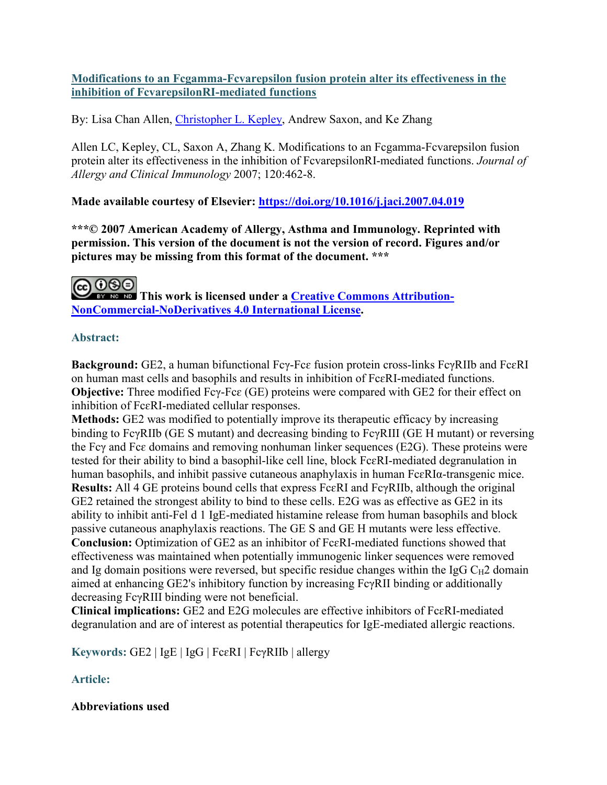# **Modifications to an Fcgamma-Fcvarepsilon fusion protein alter its effectiveness in the inhibition of FcvarepsilonRI-mediated functions**

By: Lisa Chan Allen, [Christopher L. Kepley,](https://libres.uncg.edu/ir/uncg/clist.aspx?id=8161) Andrew Saxon, and Ke Zhang

Allen LC, Kepley, CL, Saxon A, Zhang K. Modifications to an Fcgamma-Fcvarepsilon fusion protein alter its effectiveness in the inhibition of FcvarepsilonRI-mediated functions. *Journal of Allergy and Clinical Immunology* 2007; 120:462-8.

# **Made available courtesy of Elsevier:<https://doi.org/10.1016/j.jaci.2007.04.019>**

**\*\*\*© 2007 American Academy of Allergy, Asthma and Immunology. Reprinted with permission. This version of the document is not the version of record. Figures and/or pictures may be missing from this format of the document. \*\*\***

**This work is licensed under a [Creative Commons Attribution-](http://creativecommons.org/licenses/by-nc-nd/4.0/)[NonCommercial-NoDerivatives 4.0 International License.](http://creativecommons.org/licenses/by-nc-nd/4.0/)**

# **Abstract:**

**Background:** GE2, a human bifunctional Fcγ-Fcɛ fusion protein cross-links FcγRIIb and FcɛRI on human mast cells and basophils and results in inhibition of FcɛRI-mediated functions. **Objective:** Three modified Fcγ-Fcɛ (GE) proteins were compared with GE2 for their effect on inhibition of FcɛRI-mediated cellular responses.

**Methods:** GE2 was modified to potentially improve its therapeutic efficacy by increasing binding to FcγRIIb (GE S mutant) and decreasing binding to FcγRIII (GE H mutant) or reversing the Fcγ and Fcɛ domains and removing nonhuman linker sequences (E2G). These proteins were tested for their ability to bind a basophil-like cell line, block FcɛRI-mediated degranulation in human basophils, and inhibit passive cutaneous anaphylaxis in human FcɛRIα-transgenic mice. **Results:** All 4 GE proteins bound cells that express FcɛRI and FcγRIIb, although the original GE2 retained the strongest ability to bind to these cells. E2G was as effective as GE2 in its ability to inhibit anti-Fel d 1 IgE-mediated histamine release from human basophils and block passive cutaneous anaphylaxis reactions. The GE S and GE H mutants were less effective. **Conclusion:** Optimization of GE2 as an inhibitor of FcɛRI-mediated functions showed that effectiveness was maintained when potentially immunogenic linker sequences were removed and Ig domain positions were reversed, but specific residue changes within the IgG  $C_{H2}$  domain aimed at enhancing GE2's inhibitory function by increasing FcγRII binding or additionally decreasing FcγRIII binding were not beneficial.

**Clinical implications:** GE2 and E2G molecules are effective inhibitors of FcɛRI-mediated degranulation and are of interest as potential therapeutics for IgE-mediated allergic reactions.

**Keywords:** GE2 | IgE | IgG | FcɛRI | FcγRIIb | allergy

# **Article:**

# **Abbreviations used**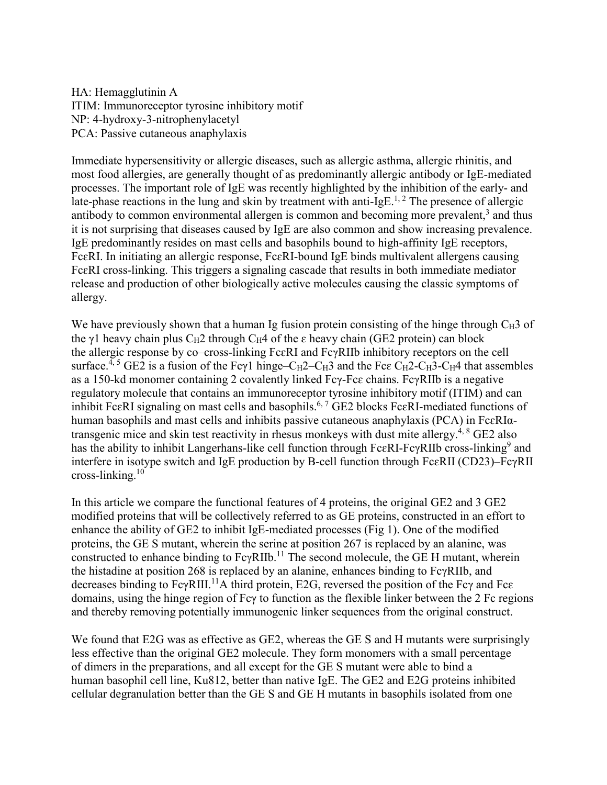HA: Hemagglutinin A ITIM: Immunoreceptor tyrosine inhibitory motif NP: 4-hydroxy-3-nitrophenylacetyl PCA: Passive cutaneous anaphylaxis

Immediate hypersensitivity or allergic diseases, such as allergic asthma, allergic rhinitis, and most food allergies, are generally thought of as predominantly allergic antibody or IgE-mediated processes. The important role of IgE was recently highlighted by the inhibition of the early- and late-phase reactions in the lung and skin by treatment with anti-IgE.<sup>1, 2</sup> The presence of allergic antibody to common environmental allergen is common and becoming more prevalent, $3$  and thus it is not surprising that diseases caused by IgE are also common and show increasing prevalence. IgE predominantly resides on mast cells and basophils bound to high-affinity IgE receptors, FcɛRI. In initiating an allergic response, FcɛRI-bound IgE binds multivalent allergens causing FcɛRI cross-linking. This triggers a signaling cascade that results in both immediate mediator release and production of other biologically active molecules causing the classic symptoms of allergy.

We have previously shown that a human Ig fusion protein consisting of the hinge through  $C_H3$  of the γ1 heavy chain plus C<sub>H</sub>2 through C<sub>H</sub>4 of the  $\varepsilon$  heavy chain (GE2 protein) can block the allergic response by co–cross-linking FcɛRI and FcγRIIb inhibitory receptors on the cell surface.<sup>4, 5</sup> GE2 is a fusion of the Fcγ1 hinge–C<sub>H</sub>2–C<sub>H</sub>3 and the Fc $\varepsilon$  C<sub>H</sub>2–C<sub>H</sub>3–C<sub>H</sub>4 that assembles as a 150-kd monomer containing 2 covalently linked Fcγ-Fcɛ chains. FcγRIIb is a negative regulatory molecule that contains an immunoreceptor tyrosine inhibitory motif (ITIM) and can inhibit FcɛRI signaling on mast cells and basophils.<sup>6,7</sup> GE2 blocks FcɛRI-mediated functions of human basophils and mast cells and inhibits passive cutaneous anaphylaxis (PCA) in FcɛRIαtransgenic mice and skin test reactivity in rhesus monkeys with dust mite allergy.<sup>4, 8</sup> GE2 also has the ability to inhibit Langerhans-like cell function through FcεRI-FcγRIIb cross-linking<sup>9</sup> and interfere in isotype switch and IgE production by B-cell function through FcɛRII (CD23)–FcγRII cross-linking. $10$ 

In this article we compare the functional features of 4 proteins, the original GE2 and 3 GE2 modified proteins that will be collectively referred to as GE proteins, constructed in an effort to enhance the ability of GE2 to inhibit IgE-mediated processes (Fig 1). One of the modified proteins, the GE S mutant, wherein the serine at position 267 is replaced by an alanine, was constructed to enhance binding to  $FcvRIIb$ .<sup>11</sup> The second molecule, the GE H mutant, wherein the histadine at position 268 is replaced by an alanine, enhances binding to FcγRIIb, and decreases binding to  $Fc\gamma RIII$ <sup>11</sup>A third protein, E2G, reversed the position of the Fc $\gamma$  and Fc $\epsilon$ domains, using the hinge region of Fcγ to function as the flexible linker between the 2 Fc regions and thereby removing potentially immunogenic linker sequences from the original construct.

We found that E2G was as effective as GE2, whereas the GE S and H mutants were surprisingly less effective than the original GE2 molecule. They form monomers with a small percentage of dimers in the preparations, and all except for the GE S mutant were able to bind a human basophil cell line, Ku812, better than native IgE. The GE2 and E2G proteins inhibited cellular degranulation better than the GE S and GE H mutants in basophils isolated from one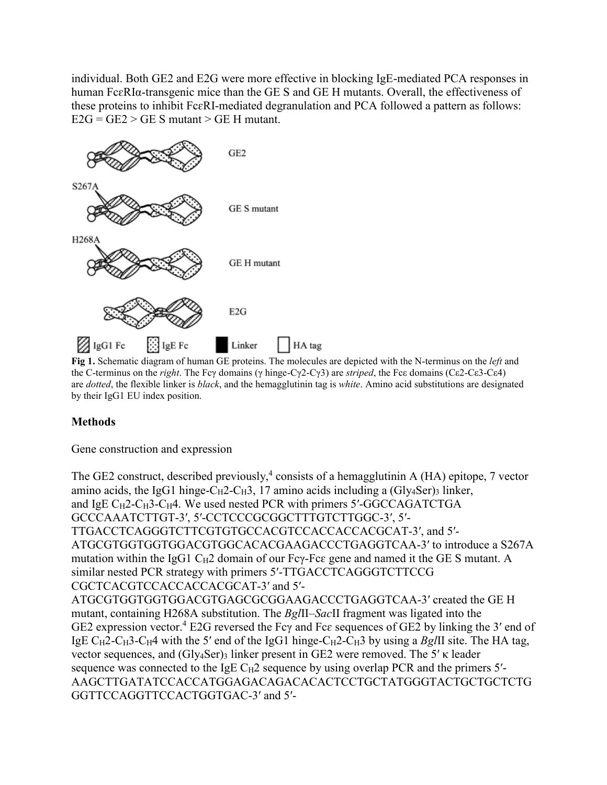individual. Both GE2 and E2G were more effective in blocking IgE-mediated PCA responses in human FcɛRIα-transgenic mice than the GE S and GE H mutants. Overall, the effectiveness of these proteins to inhibit FcɛRI-mediated degranulation and PCA followed a pattern as follows:  $E2G = GE2 > GE S$  mutant > GE H mutant.



**Fig 1.** Schematic diagram of human GE proteins. The molecules are depicted with the N-terminus on the *left* and the C-terminus on the *right*. The Fcγ domains (γ hinge-Cγ2-Cγ3) are *striped*, the Fcε domains (Cε2-Cε3-Cε4) are *dotted*, the flexible linker is *black*, and the hemagglutinin tag is *white*. Amino acid substitutions are designated by their IgG1 EU index position.

# **Methods**

Gene construction and expression

The GE2 construct, described previously,<sup>4</sup> consists of a hemagglutinin A (HA) epitope, 7 vector amino acids, the IgG1 hinge- $C_H2 - C_H3$ , 17 amino acids including a (Gly4Ser)3 linker, and IgE  $C_H$ 2- $C_H$ 3- $C_H$ 4. We used nested PCR with primers 5'-GGCCAGATCTGA GCCCAAATCTTGT-3′, 5′-CCTCCCGCGGCTTTGTCTTGGC-3′, 5′- TTGACCTCAGGGTCTTCGTGTGCCACGTCCACCACCACGCAT-3′, and 5′- ATGCGTGGTGGTGGACGTGGCACACGAAGACCCTGAGGTCAA-3′ to introduce a S267A mutation within the IgG1 C<sub>H</sub>2 domain of our Fc $\gamma$ -Fc $\varepsilon$  gene and named it the GE S mutant. A similar nested PCR strategy with primers 5′-TTGACCTCAGGGTCTTCCG CGCTCACGTCCACCACCACGCAT-3′ and 5′- ATGCGTGGTGGTGGACGTGAGCGCGGAAGACCCTGAGGTCAA-3′ created the GE H mutant, containing H268A substitution. The *Bgl*II–*Sac*II fragment was ligated into the GE2 expression vector.<sup>4</sup> E2G reversed the Fcγ and Fcε sequences of GE2 by linking the 3' end of IgE  $C_H$ 2-C<sub>H</sub>3-C<sub>H</sub>4 with the 5' end of the IgG1 hinge-C<sub>H</sub>2-C<sub>H</sub>3 by using a *BgIII* site. The HA tag, vector sequences, and (Gly<sub>4</sub>Ser)<sub>3</sub> linker present in GE2 were removed. The 5'  $\kappa$  leader sequence was connected to the IgE  $C_H2$  sequence by using overlap PCR and the primers  $5'$ -AAGCTTGATATCCACCATGGAGACAGACACACTCCTGCTATGGGTACTGCTGCTCTG GGTTCCAGGTTCCACTGGTGAC-3′ and 5′-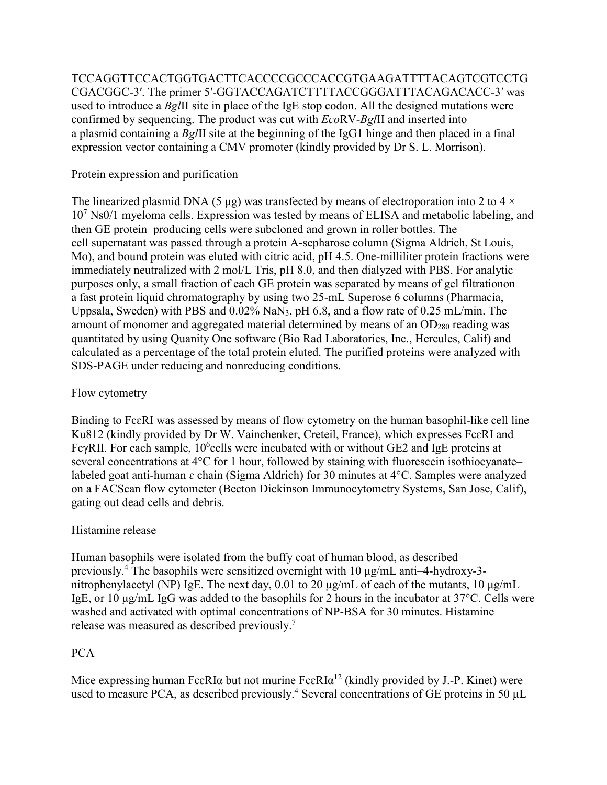TCCAGGTTCCACTGGTGACTTCACCCCGCCCACCGTGAAGATTTTACAGTCGTCCTG CGACGGC-3′. The primer 5′-GGTACCAGATCTTTTACCGGGATTTACAGACACC-3′ was used to introduce a *Bgl*II site in place of the IgE stop codon. All the designed mutations were confirmed by sequencing. The product was cut with *Eco*RV-*Bgl*II and inserted into a plasmid containing a *Bgl*II site at the beginning of the IgG1 hinge and then placed in a final expression vector containing a CMV promoter (kindly provided by Dr S. L. Morrison).

### Protein expression and purification

The linearized plasmid DNA (5 μg) was transfected by means of electroporation into 2 to 4  $\times$  $10^7$  Ns0/1 myeloma cells. Expression was tested by means of ELISA and metabolic labeling, and then GE protein–producing cells were subcloned and grown in roller bottles. The cell supernatant was passed through a protein A-sepharose column (Sigma Aldrich, St Louis, Mo), and bound protein was eluted with citric acid, pH 4.5. One-milliliter protein fractions were immediately neutralized with 2 mol/L Tris, pH 8.0, and then dialyzed with PBS. For analytic purposes only, a small fraction of each GE protein was separated by means of gel filtrationon a fast protein liquid chromatography by using two 25-mL Superose 6 columns (Pharmacia, Uppsala, Sweden) with PBS and 0.02% NaN3, pH 6.8, and a flow rate of 0.25 mL/min. The amount of monomer and aggregated material determined by means of an  $OD<sub>280</sub>$  reading was quantitated by using Quanity One software (Bio Rad Laboratories, Inc., Hercules, Calif) and calculated as a percentage of the total protein eluted. The purified proteins were analyzed with SDS-PAGE under reducing and nonreducing conditions.

### Flow cytometry

Binding to FcɛRI was assessed by means of flow cytometry on the human basophil-like cell line Ku812 (kindly provided by Dr W. Vainchenker, Creteil, France), which expresses FcɛRI and Fc $\gamma$ RII. For each sample, 10<sup>6</sup>cells were incubated with or without GE2 and IgE proteins at several concentrations at 4°C for 1 hour, followed by staining with fluorescein isothiocyanate– labeled goat anti-human ɛ chain (Sigma Aldrich) for 30 minutes at 4°C. Samples were analyzed on a FACScan flow cytometer (Becton Dickinson Immunocytometry Systems, San Jose, Calif), gating out dead cells and debris.

# Histamine release

Human basophils were isolated from the buffy coat of human blood, as described previously.<sup>4</sup> The basophils were sensitized overnight with 10 μg/mL anti–4-hydroxy-3 nitrophenylacetyl (NP) IgE. The next day, 0.01 to 20 μg/mL of each of the mutants, 10 μg/mL IgE, or 10 μg/mL IgG was added to the basophils for 2 hours in the incubator at 37°C. Cells were washed and activated with optimal concentrations of NP-BSA for 30 minutes. Histamine release was measured as described previously.7

#### PCA

Mice expressing human Fc $\varepsilon$ RI $\alpha$  but not murine Fc $\varepsilon$ RI $\alpha$ <sup>12</sup> (kindly provided by J.-P. Kinet) were used to measure PCA, as described previously.<sup>4</sup> Several concentrations of GE proteins in 50  $\mu$ L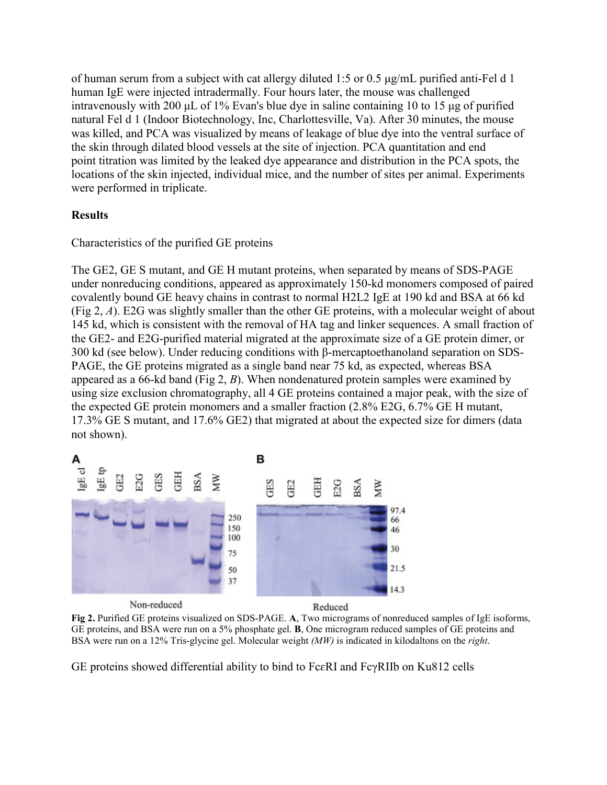of human serum from a subject with cat allergy diluted 1:5 or 0.5 μg/mL purified anti-Fel d 1 human IgE were injected intradermally. Four hours later, the mouse was challenged intravenously with 200 μL of 1% Evan's blue dye in saline containing 10 to 15 μg of purified natural Fel d 1 (Indoor Biotechnology, Inc, Charlottesville, Va). After 30 minutes, the mouse was killed, and PCA was visualized by means of leakage of blue dye into the ventral surface of the skin through dilated blood vessels at the site of injection. PCA quantitation and end point titration was limited by the leaked dye appearance and distribution in the PCA spots, the locations of the skin injected, individual mice, and the number of sites per animal. Experiments were performed in triplicate.

# **Results**

#### Characteristics of the purified GE proteins

The GE2, GE S mutant, and GE H mutant proteins, when separated by means of SDS-PAGE under nonreducing conditions, appeared as approximately 150-kd monomers composed of paired covalently bound GE heavy chains in contrast to normal H2L2 IgE at 190 kd and BSA at 66 kd (Fig 2, *A*). E2G was slightly smaller than the other GE proteins, with a molecular weight of about 145 kd, which is consistent with the removal of HA tag and linker sequences. A small fraction of the GE2- and E2G-purified material migrated at the approximate size of a GE protein dimer, or 300 kd (see below). Under reducing conditions with β-mercaptoethanoland separation on SDS-PAGE, the GE proteins migrated as a single band near 75 kd, as expected, whereas BSA appeared as a 66-kd band (Fig 2, *B*). When nondenatured protein samples were examined by using size exclusion chromatography, all 4 GE proteins contained a major peak, with the size of the expected GE protein monomers and a smaller fraction (2.8% E2G, 6.7% GE H mutant, 17.3% GE S mutant, and 17.6% GE2) that migrated at about the expected size for dimers (data not shown).



**Fig 2.** Purified GE proteins visualized on SDS-PAGE. **A**, Two micrograms of nonreduced samples of IgE isoforms, GE proteins, and BSA were run on a 5% phosphate gel. **B**, One microgram reduced samples of GE proteins and BSA were run on a 12% Tris-glycine gel. Molecular weight *(MW)* is indicated in kilodaltons on the *right*.

GE proteins showed differential ability to bind to FcɛRI and FcγRIIb on Ku812 cells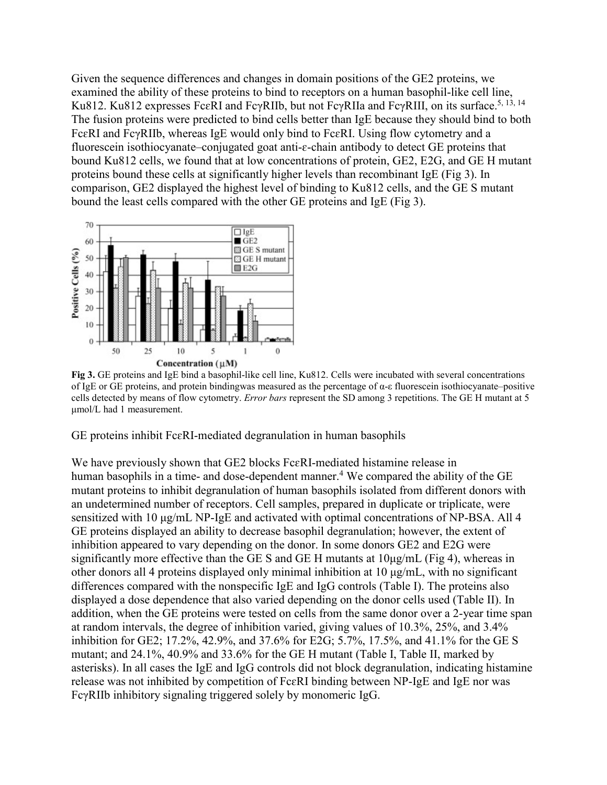Given the sequence differences and changes in domain positions of the GE2 proteins, we examined the ability of these proteins to bind to receptors on a human basophil-like cell line, Ku812. Ku812 expresses FcεRI and FcγRIIb, but not FcγRIIa and FcγRIII, on its surface.<sup>5, 13, 14</sup> The fusion proteins were predicted to bind cells better than IgE because they should bind to both FcɛRI and FcγRIIb, whereas IgE would only bind to FcɛRI. Using flow cytometry and a fluorescein isothiocyanate–conjugated goat anti- $\varepsilon$ -chain antibody to detect GE proteins that bound Ku812 cells, we found that at low concentrations of protein, GE2, E2G, and GE H mutant proteins bound these cells at significantly higher levels than recombinant IgE (Fig 3). In comparison, GE2 displayed the highest level of binding to Ku812 cells, and the GE S mutant bound the least cells compared with the other GE proteins and IgE (Fig 3).



**Fig 3.** GE proteins and IgE bind a basophil-like cell line, Ku812. Cells were incubated with several concentrations of IgE or GE proteins, and protein bindingwas measured as the percentage of α-ε fluorescein isothiocyanate–positive cells detected by means of flow cytometry. *Error bars* represent the SD among 3 repetitions. The GE H mutant at 5 μmol/L had 1 measurement.

GE proteins inhibit FcɛRI-mediated degranulation in human basophils

We have previously shown that GE2 blocks FcɛRI-mediated histamine release in human basophils in a time- and dose-dependent manner.<sup>4</sup> We compared the ability of the GE mutant proteins to inhibit degranulation of human basophils isolated from different donors with an undetermined number of receptors. Cell samples, prepared in duplicate or triplicate, were sensitized with 10 μg/mL NP-IgE and activated with optimal concentrations of NP-BSA. All 4 GE proteins displayed an ability to decrease basophil degranulation; however, the extent of inhibition appeared to vary depending on the donor. In some donors GE2 and E2G were significantly more effective than the GE S and GE H mutants at  $10\mu\text{g/mL}$  (Fig 4), whereas in other donors all 4 proteins displayed only minimal inhibition at 10 μg/mL, with no significant differences compared with the nonspecific IgE and IgG controls (Table I). The proteins also displayed a dose dependence that also varied depending on the donor cells used (Table II). In addition, when the GE proteins were tested on cells from the same donor over a 2-year time span at random intervals, the degree of inhibition varied, giving values of 10.3%, 25%, and 3.4% inhibition for GE2; 17.2%, 42.9%, and 37.6% for E2G; 5.7%, 17.5%, and 41.1% for the GE S mutant; and 24.1%, 40.9% and 33.6% for the GE H mutant (Table I, Table II, marked by asterisks). In all cases the IgE and IgG controls did not block degranulation, indicating histamine release was not inhibited by competition of FcɛRI binding between NP-IgE and IgE nor was FcγRIIb inhibitory signaling triggered solely by monomeric IgG.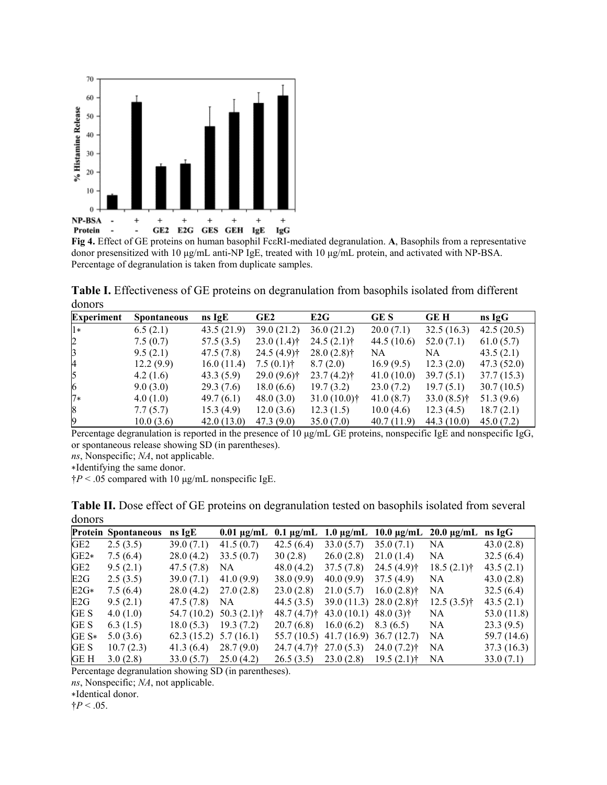

**Fig 4.** Effect of GE proteins on human basophil FcεRI-mediated degranulation. **A**, Basophils from a representative donor presensitized with 10 μg/mL anti-NP IgE, treated with 10 μg/mL protein, and activated with NP-BSA. Percentage of degranulation is taken from duplicate samples.

**Table I.** Effectiveness of GE proteins on degranulation from basophils isolated from different donors

| <b>Experiment</b> | <b>Spontaneous</b> | $ns \lg E$ | GE <sub>2</sub> | E2G            | GE S       | <b>GEH</b>    | ns IgG     |
|-------------------|--------------------|------------|-----------------|----------------|------------|---------------|------------|
| $1*$              | 6.5(2.1)           | 43.5(21.9) | 39.0(21.2)      | 36.0(21.2)     | 20.0(7.1)  | 32.5(16.3)    | 42.5(20.5) |
| $\overline{2}$    | 7.5(0.7)           | 57.5(3.5)  | $23.0(1.4)$ †   | $24.5(2.1)$ †  | 44.5(10.6) | 52.0(7.1)     | 61.0(5.7)  |
| $\beta$           | 9.5(2.1)           | 47.5(7.8)  | $24.5(4.9)$ †   | $28.0(2.8)$ †  | NA         | NA.           | 43.5(2.1)  |
| $\overline{A}$    | 12.2(9.9)          | 16.0(11.4) | $7.5(0.1)$ †    | 8.7(2.0)       | 16.9(9.5)  | 12.3(2.0)     | 47.3(52.0) |
| 5                 | 4.2(1.6)           | 43.3(5.9)  | $29.0(9.6)$ †   | $23.7(4.2)$ †  | 41.0(10.0) | 39.7(5.1)     | 37.7(15.3) |
| 6                 | 9.0(3.0)           | 29.3(7.6)  | 18.0(6.6)       | 19.7(3.2)      | 23.0(7.2)  | 19.7(5.1)     | 30.7(10.5) |
| $7*$              | 4.0(1.0)           | 49.7(6.1)  | 48.0(3.0)       | $31.0(10.0)$ † | 41.0(8.7)  | $33.0(8.5)$ † | 51.3 (9.6) |
| 8                 | 7.7(5.7)           | 15.3(4.9)  | 12.0(3.6)       | 12.3(1.5)      | 10.0(4.6)  | 12.3(4.5)     | 18.7(2.1)  |
| 9                 | 10.0(3.6)          | 42.0(13.0) | 47.3 (9.0)      | 35.0(7.0)      | 40.7(11.9) | 44.3 (10.0)   | 45.0(7.2)  |

Percentage degranulation is reported in the presence of 10 μg/mL GE proteins, nonspecific IgE and nonspecific IgG, or spontaneous release showing SD (in parentheses).

*ns*, Nonspecific; *NA*, not applicable.

∗Identifying the same donor.

†*P* < .05 compared with 10 μg/mL nonspecific IgE.

| GOILOIS         |                            |                         |                                       |                         |                                       |                                       |                                           |             |  |  |
|-----------------|----------------------------|-------------------------|---------------------------------------|-------------------------|---------------------------------------|---------------------------------------|-------------------------------------------|-------------|--|--|
|                 | <b>Protein Spontaneous</b> | ns IgE                  | $0.01 \,\mathrm{\mu g/mL}$            |                         |                                       |                                       | 0.1 μg/mL 1.0 μg/mL 10.0 μg/mL 20.0 μg/mL | $ns \lg G$  |  |  |
| GE <sub>2</sub> | 2.5(3.5)                   | 39.0(7.1)               | 41.5(0.7)                             | 42.5(6.4)               | 33.0(5.7)                             | 35.0(7.1)                             | NA.                                       | 43.0(2.8)   |  |  |
| $GE2*$          | 7.5(6.4)                   | 28.0(4.2)               | 33.5(0.7)                             | 30(2.8)                 | 26.0(2.8)                             | 21.0(1.4)                             | NA.                                       | 32.5(6.4)   |  |  |
| GE2             | 9.5(2.1)                   | 47.5(7.8)               | NA.                                   | 48.0(4.2)               | 37.5(7.8)                             | $24.5(4.9)$ †                         | $18.5(2.1)$ †                             | 43.5(2.1)   |  |  |
| E2G             | 2.5(3.5)                   | 39.0(7.1)               | 41.0(9.9)                             | 38.0(9.9)               | 40.0(9.9)                             | 37.5(4.9)                             | NA.                                       | 43.0(2.8)   |  |  |
| $E2G*$          | 7.5(6.4)                   | 28.0(4.2)               | 27.0(2.8)                             | 23.0(2.8)               | 21.0(5.7)                             | $16.0(2.8)$ †                         | NA                                        | 32.5(6.4)   |  |  |
| E2G             | 9.5(2.1)                   | 47.5 (7.8)              | NA.                                   | 44.5(3.5)               |                                       | $39.0(11.3)$ $28.0(2.8)$ <sup>†</sup> | $12.5(3.5)$ †                             | 43.5(2.1)   |  |  |
| GE S            | 4.0(1.0)                   |                         | $54.7(10.2)$ $50.3(2.1)$ <sup>†</sup> | $48.7(4.7)$ †           | 43.0 $(10.1)$ 48.0 $(3)$ <sup>†</sup> |                                       | NA                                        | 53.0 (11.8) |  |  |
| GE S            | 6.3(1.5)                   | $18.0(5.3)$ 19.3 (7.2)  |                                       | 20.7(6.8)               | 16.0(6.2)                             | 8.3(6.5)                              | NA.                                       | 23.3(9.5)   |  |  |
| $GE S*$         | 5.0(3.6)                   | $62.3(15.2)$ 5.7 (16.1) |                                       |                         | $55.7(10.5)$ 41.7 (16.9)              | 36.7 (12.7)                           | NA                                        | 59.7 (14.6) |  |  |
| GE S            | 10.7(2.3)                  | 41.3(6.4)               | 28.7(9.0)                             | $24.7(4.7)$ $27.0(5.3)$ |                                       | $24.0(7.2)$ †                         | NA.                                       | 37.3(16.3)  |  |  |
| GE H            | 3.0(2.8)                   | 33.0(5.7)               | 25.0(4.2)                             |                         | $26.5(3.5)$ $23.0(2.8)$ $19.5(2.1)$ † |                                       | NA.                                       | 33.0(7.1)   |  |  |

**Table II.** Dose effect of GE proteins on degranulation tested on basophils isolated from several donors

Percentage degranulation showing SD (in parentheses).

*ns*, Nonspecific; *NA*, not applicable.

∗Identical donor.

 $\dagger P < .05$ .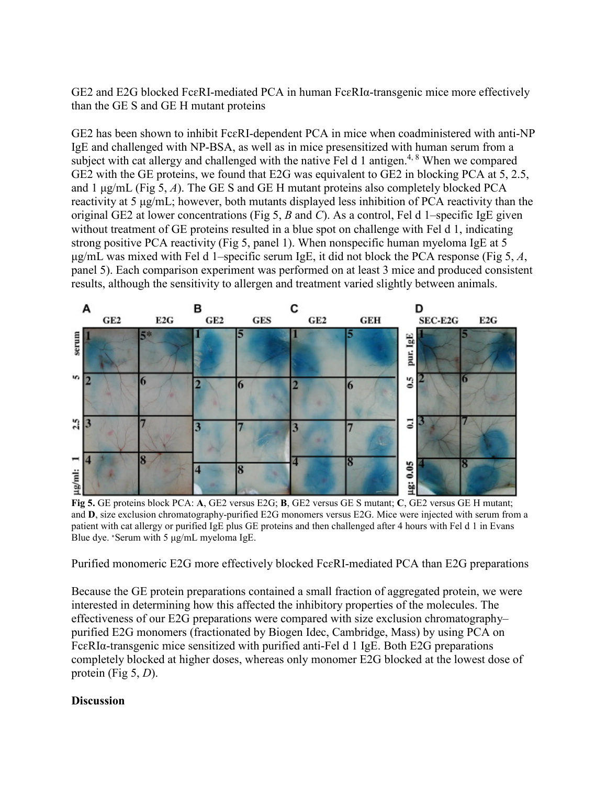GE2 and E2G blocked FcɛRI-mediated PCA in human FcɛRIα-transgenic mice more effectively than the GE S and GE H mutant proteins

GE2 has been shown to inhibit FcɛRI-dependent PCA in mice when coadministered with anti-NP IgE and challenged with NP-BSA, as well as in mice presensitized with human serum from a subject with cat allergy and challenged with the native Fel d 1 antigen.<sup>4, 8</sup> When we compared GE2 with the GE proteins, we found that E2G was equivalent to GE2 in blocking PCA at 5, 2.5, and 1 μg/mL (Fig 5, *A*). The GE S and GE H mutant proteins also completely blocked PCA reactivity at 5 μg/mL; however, both mutants displayed less inhibition of PCA reactivity than the original GE2 at lower concentrations (Fig 5, *B* and *C*). As a control, Fel d 1–specific IgE given without treatment of GE proteins resulted in a blue spot on challenge with Fel d 1, indicating strong positive PCA reactivity (Fig 5, panel 1). When nonspecific human myeloma IgE at 5 μg/mL was mixed with Fel d 1–specific serum IgE, it did not block the PCA response (Fig 5, *A*, panel 5). Each comparison experiment was performed on at least 3 mice and produced consistent results, although the sensitivity to allergen and treatment varied slightly between animals.



**Fig 5.** GE proteins block PCA: **A**, GE2 versus E2G; **B**, GE2 versus GE S mutant; **C**, GE2 versus GE H mutant; and **D**, size exclusion chromatography-purified E2G monomers versus E2G. Mice were injected with serum from a patient with cat allergy or purified IgE plus GE proteins and then challenged after 4 hours with Fel d 1 in Evans Blue dye. <sup>∗</sup>Serum with 5 μg/mL myeloma IgE.

Purified monomeric E2G more effectively blocked FcɛRI-mediated PCA than E2G preparations

Because the GE protein preparations contained a small fraction of aggregated protein, we were interested in determining how this affected the inhibitory properties of the molecules. The effectiveness of our E2G preparations were compared with size exclusion chromatography– purified E2G monomers (fractionated by Biogen Idec, Cambridge, Mass) by using PCA on FcɛRIα-transgenic mice sensitized with purified anti-Fel d 1 IgE. Both E2G preparations completely blocked at higher doses, whereas only monomer E2G blocked at the lowest dose of protein (Fig 5, *D*).

# **Discussion**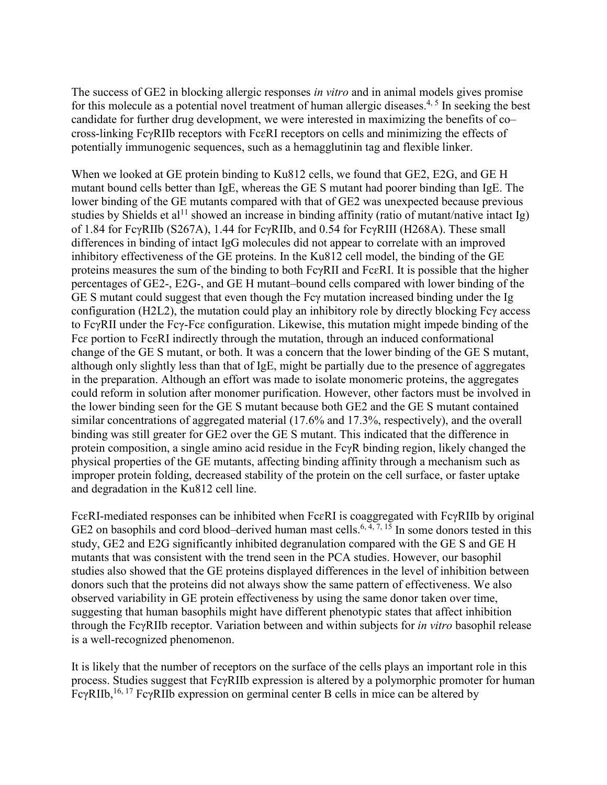The success of GE2 in blocking allergic responses *in vitro* and in animal models gives promise for this molecule as a potential novel treatment of human allergic diseases.<sup>4, 5</sup> In seeking the best candidate for further drug development, we were interested in maximizing the benefits of co– cross-linking FcγRIIb receptors with FcɛRI receptors on cells and minimizing the effects of potentially immunogenic sequences, such as a hemagglutinin tag and flexible linker.

When we looked at GE protein binding to Ku812 cells, we found that GE2, E2G, and GE H mutant bound cells better than IgE, whereas the GE S mutant had poorer binding than IgE. The lower binding of the GE mutants compared with that of GE2 was unexpected because previous studies by Shields et al<sup>11</sup> showed an increase in binding affinity (ratio of mutant/native intact Ig) of 1.84 for FcγRIIb (S267A), 1.44 for FcγRIIb, and 0.54 for FcγRIII (H268A). These small differences in binding of intact IgG molecules did not appear to correlate with an improved inhibitory effectiveness of the GE proteins. In the Ku812 cell model, the binding of the GE proteins measures the sum of the binding to both FcγRII and FcɛRI. It is possible that the higher percentages of GE2-, E2G-, and GE H mutant–bound cells compared with lower binding of the GE S mutant could suggest that even though the Fcγ mutation increased binding under the Ig configuration (H2L2), the mutation could play an inhibitory role by directly blocking Fcγ access to FcγRII under the Fcγ-Fcɛ configuration. Likewise, this mutation might impede binding of the Fcɛ portion to FcɛRI indirectly through the mutation, through an induced conformational change of the GE S mutant, or both. It was a concern that the lower binding of the GE S mutant, although only slightly less than that of IgE, might be partially due to the presence of aggregates in the preparation. Although an effort was made to isolate monomeric proteins, the aggregates could reform in solution after monomer purification. However, other factors must be involved in the lower binding seen for the GE S mutant because both GE2 and the GE S mutant contained similar concentrations of aggregated material (17.6% and 17.3%, respectively), and the overall binding was still greater for GE2 over the GE S mutant. This indicated that the difference in protein composition, a single amino acid residue in the FcγR binding region, likely changed the physical properties of the GE mutants, affecting binding affinity through a mechanism such as improper protein folding, decreased stability of the protein on the cell surface, or faster uptake and degradation in the Ku812 cell line.

FcɛRI-mediated responses can be inhibited when FcɛRI is coaggregated with FcγRIIb by original GE2 on basophils and cord blood–derived human mast cells.<sup>6, 4, 7, 15</sup> In some donors tested in this study, GE2 and E2G significantly inhibited degranulation compared with the GE S and GE H mutants that was consistent with the trend seen in the PCA studies. However, our basophil studies also showed that the GE proteins displayed differences in the level of inhibition between donors such that the proteins did not always show the same pattern of effectiveness. We also observed variability in GE protein effectiveness by using the same donor taken over time, suggesting that human basophils might have different phenotypic states that affect inhibition through the FcγRIIb receptor. Variation between and within subjects for *in vitro* basophil release is a well-recognized phenomenon.

It is likely that the number of receptors on the surface of the cells plays an important role in this process. Studies suggest that FcγRIIb expression is altered by a polymorphic promoter for human FcγRIIb,  $^{16, 17}$  FcγRIIb expression on germinal center B cells in mice can be altered by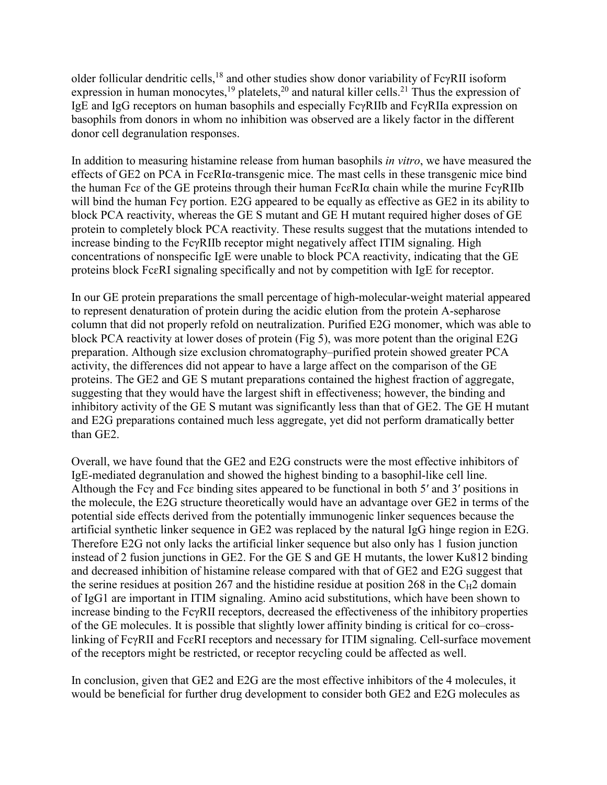older follicular dendritic cells,<sup>18</sup> and other studies show donor variability of FcγRII isoform expression in human monocytes,  $^{19}$  platelets,  $^{20}$  and natural killer cells.  $^{21}$  Thus the expression of IgE and IgG receptors on human basophils and especially FcγRIIb and FcγRIIa expression on basophils from donors in whom no inhibition was observed are a likely factor in the different donor cell degranulation responses.

In addition to measuring histamine release from human basophils *in vitro*, we have measured the effects of GE2 on PCA in FcɛRIα-transgenic mice. The mast cells in these transgenic mice bind the human Fcɛ of the GE proteins through their human FcɛRIα chain while the murine FcγRIIb will bind the human Fcγ portion. E2G appeared to be equally as effective as GE2 in its ability to block PCA reactivity, whereas the GE S mutant and GE H mutant required higher doses of GE protein to completely block PCA reactivity. These results suggest that the mutations intended to increase binding to the FcγRIIb receptor might negatively affect ITIM signaling. High concentrations of nonspecific IgE were unable to block PCA reactivity, indicating that the GE proteins block FcɛRI signaling specifically and not by competition with IgE for receptor.

In our GE protein preparations the small percentage of high-molecular-weight material appeared to represent denaturation of protein during the acidic elution from the protein A-sepharose column that did not properly refold on neutralization. Purified E2G monomer, which was able to block PCA reactivity at lower doses of protein (Fig 5), was more potent than the original E2G preparation. Although size exclusion chromatography–purified protein showed greater PCA activity, the differences did not appear to have a large affect on the comparison of the GE proteins. The GE2 and GE S mutant preparations contained the highest fraction of aggregate, suggesting that they would have the largest shift in effectiveness; however, the binding and inhibitory activity of the GE S mutant was significantly less than that of GE2. The GE H mutant and E2G preparations contained much less aggregate, yet did not perform dramatically better than GE2.

Overall, we have found that the GE2 and E2G constructs were the most effective inhibitors of IgE-mediated degranulation and showed the highest binding to a basophil-like cell line. Although the Fcγ and Fcɛ binding sites appeared to be functional in both 5′ and 3′ positions in the molecule, the E2G structure theoretically would have an advantage over GE2 in terms of the potential side effects derived from the potentially immunogenic linker sequences because the artificial synthetic linker sequence in GE2 was replaced by the natural IgG hinge region in E2G. Therefore E2G not only lacks the artificial linker sequence but also only has 1 fusion junction instead of 2 fusion junctions in GE2. For the GE S and GE H mutants, the lower Ku812 binding and decreased inhibition of histamine release compared with that of GE2 and E2G suggest that the serine residues at position 267 and the histidine residue at position 268 in the  $C_{H2}$  domain of IgG1 are important in ITIM signaling. Amino acid substitutions, which have been shown to increase binding to the FcγRII receptors, decreased the effectiveness of the inhibitory properties of the GE molecules. It is possible that slightly lower affinity binding is critical for co–crosslinking of FcγRII and FcɛRI receptors and necessary for ITIM signaling. Cell-surface movement of the receptors might be restricted, or receptor recycling could be affected as well.

In conclusion, given that GE2 and E2G are the most effective inhibitors of the 4 molecules, it would be beneficial for further drug development to consider both GE2 and E2G molecules as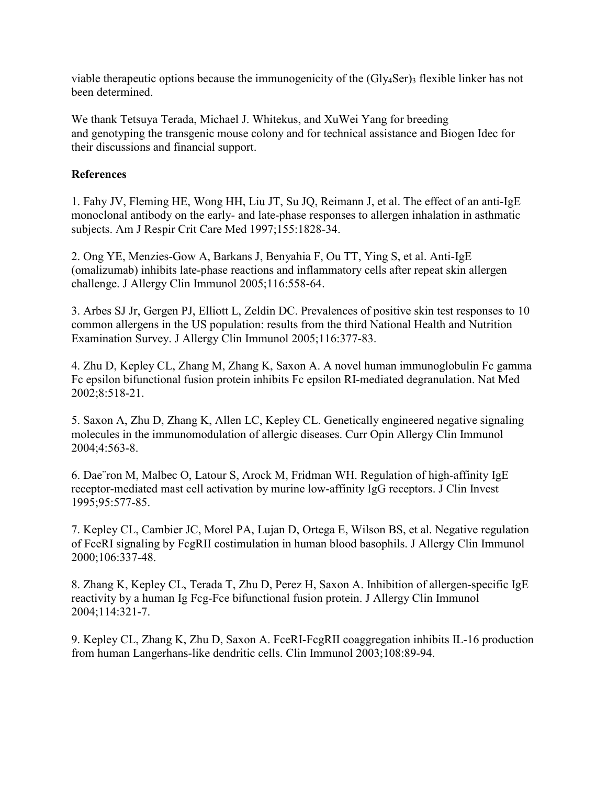viable therapeutic options because the immunogenicity of the (Gly4Ser)3 flexible linker has not been determined.

We thank Tetsuya Terada, Michael J. Whitekus, and XuWei Yang for breeding and genotyping the transgenic mouse colony and for technical assistance and Biogen Idec for their discussions and financial support.

# **References**

1. Fahy JV, Fleming HE, Wong HH, Liu JT, Su JQ, Reimann J, et al. The effect of an anti-IgE monoclonal antibody on the early- and late-phase responses to allergen inhalation in asthmatic subjects. Am J Respir Crit Care Med 1997;155:1828-34.

2. Ong YE, Menzies-Gow A, Barkans J, Benyahia F, Ou TT, Ying S, et al. Anti-IgE (omalizumab) inhibits late-phase reactions and inflammatory cells after repeat skin allergen challenge. J Allergy Clin Immunol 2005;116:558-64.

3. Arbes SJ Jr, Gergen PJ, Elliott L, Zeldin DC. Prevalences of positive skin test responses to 10 common allergens in the US population: results from the third National Health and Nutrition Examination Survey. J Allergy Clin Immunol 2005;116:377-83.

4. Zhu D, Kepley CL, Zhang M, Zhang K, Saxon A. A novel human immunoglobulin Fc gamma Fc epsilon bifunctional fusion protein inhibits Fc epsilon RI-mediated degranulation. Nat Med 2002;8:518-21.

5. Saxon A, Zhu D, Zhang K, Allen LC, Kepley CL. Genetically engineered negative signaling molecules in the immunomodulation of allergic diseases. Curr Opin Allergy Clin Immunol 2004;4:563-8.

6. Dae¨ron M, Malbec O, Latour S, Arock M, Fridman WH. Regulation of high-affinity IgE receptor-mediated mast cell activation by murine low-affinity IgG receptors. J Clin Invest 1995;95:577-85.

7. Kepley CL, Cambier JC, Morel PA, Lujan D, Ortega E, Wilson BS, et al. Negative regulation of FceRI signaling by FcgRII costimulation in human blood basophils. J Allergy Clin Immunol 2000;106:337-48.

8. Zhang K, Kepley CL, Terada T, Zhu D, Perez H, Saxon A. Inhibition of allergen-specific IgE reactivity by a human Ig Fcg-Fce bifunctional fusion protein. J Allergy Clin Immunol 2004;114:321-7.

9. Kepley CL, Zhang K, Zhu D, Saxon A. FceRI-FcgRII coaggregation inhibits IL-16 production from human Langerhans-like dendritic cells. Clin Immunol 2003;108:89-94.